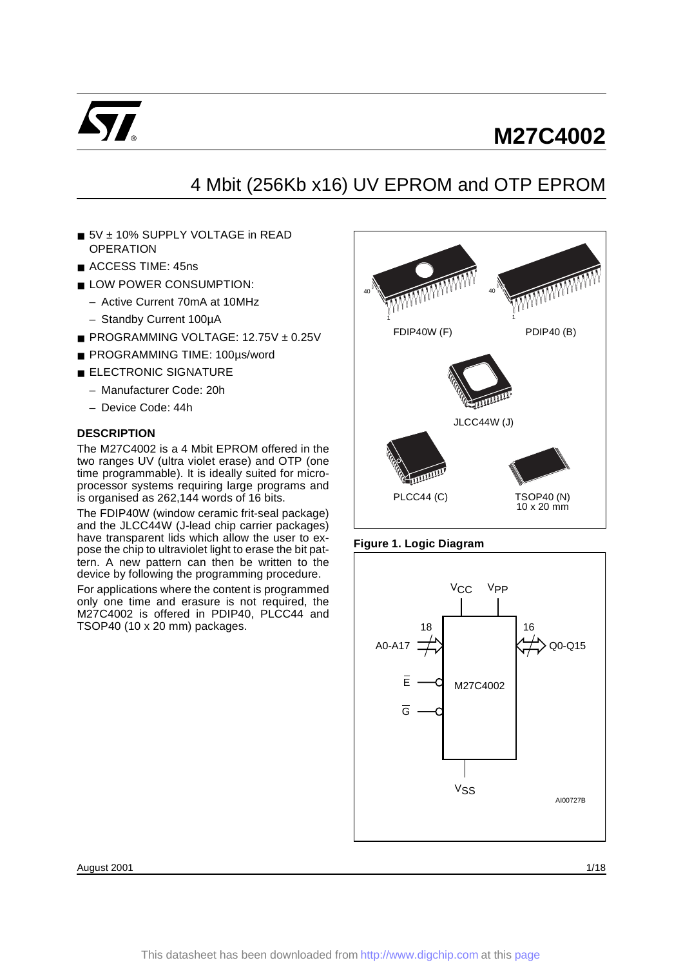

## 4 Mbit (256Kb x16) UV EPROM and OTP EPROM

- 5V ± 10% SUPPLY VOLTAGE in READ **OPERATION**
- ACCESS TIME: 45ns
- LOW POWER CONSUMPTION:
	- Active Current 70mA at 10MHz
	- Standby Current 100µA
- PROGRAMMING VOLTAGE: 12.75V ± 0.25V
- PROGRAMMING TIME: 100µs/word
- ELECTRONIC SIGNATURE
	- Manufacturer Code: 20h
	- Device Code: 44h

## **DESCRIPTION**

The M27C4002 is a 4 Mbit EPROM offered in the two ranges UV (ultra violet erase) and OTP (one time programmable). It is ideally suited for microprocessor systems requiring large programs and is organised as 262,144 words of 16 bits.

The FDIP40W (window ceramic frit-seal package) and the JLCC44W (J-lead chip carrier packages) have transparent lids which allow the user to expose the chip to ultraviolet light to erase the bit pattern. A new pattern can then be written to the device by following the programming procedure.

For applications where the content is programmed only one time and erasure is not required, the M27C4002 is offered in PDIP40, PLCC44 and TSOP40 (10 x 20 mm) packages.



#### **Figure 1. Logic Diagram**



August 2001 **1/18**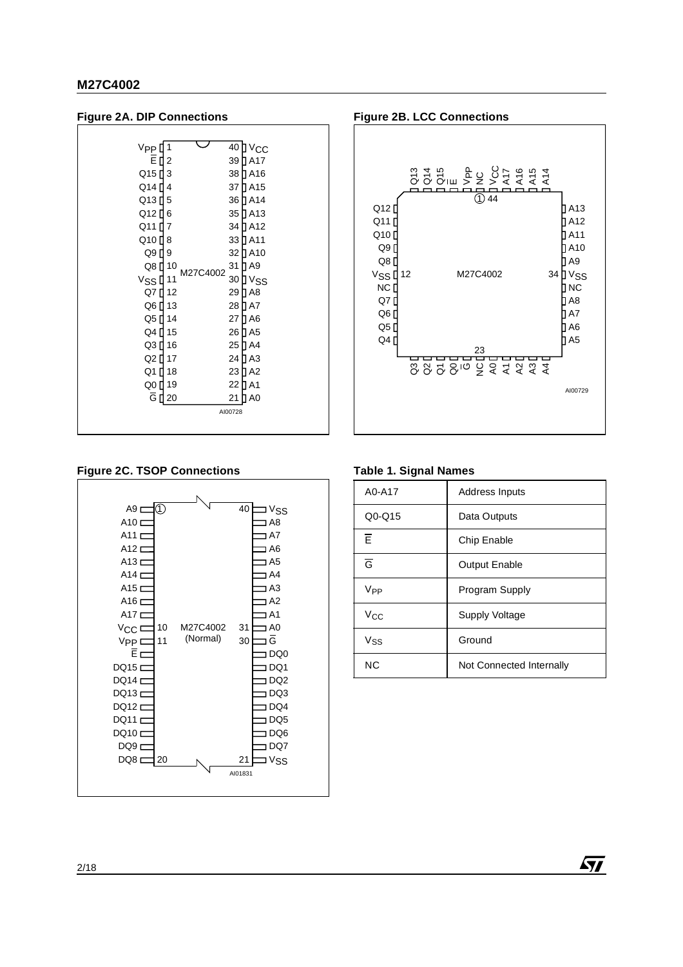





#### **Figure 2C. TSOP Connections**



#### **Table 1. Signal Names**

| A0-A17          | <b>Address Inputs</b>    |
|-----------------|--------------------------|
| $Q0$ -Q15       | Data Outputs             |
| F               | Chip Enable              |
| $\overline{G}$  | <b>Output Enable</b>     |
| V <sub>PP</sub> | Program Supply           |
| Vcc             | <b>Supply Voltage</b>    |
| Vss             | Ground                   |
| ΝC              | Not Connected Internally |

冈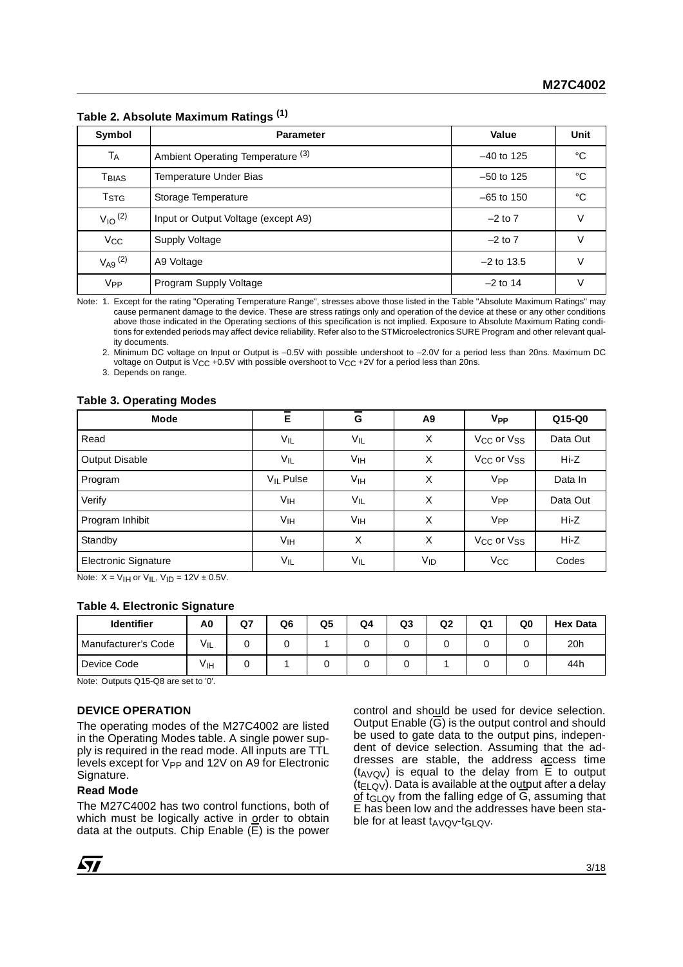| Symbol                  | <b>Parameter</b>                    | Value        | <b>Unit</b> |
|-------------------------|-------------------------------------|--------------|-------------|
| <b>TA</b>               | Ambient Operating Temperature (3)   | $-40$ to 125 | °C          |
| Tbias                   | Temperature Under Bias              | $-50$ to 125 | °C          |
| T <sub>STG</sub>        | Storage Temperature                 | $-65$ to 150 | °C          |
| $V_{10}$ <sup>(2)</sup> | Input or Output Voltage (except A9) | $-2$ to $7$  | v           |
| Vcc                     | Supply Voltage                      | $-2$ to $7$  | V           |
| $V_{A9}$ (2)            | A9 Voltage                          | $-2$ to 13.5 | v           |
| <b>V<sub>PP</sub></b>   | Program Supply Voltage              | $-2$ to 14   | V           |

**Table 2. Absolute Maximum Ratings (1)**

Note: 1. Except for the rating "Operating Temperature Range", stresses above those listed in the Table "Absolute Maximum Ratings" may cause permanent damage to the device. These are stress ratings only and operation of the device at these or any other conditions above those indicated in the Operating sections of this specification is not implied. Exposure to Absolute Maximum Rating conditions for extended periods may affect device reliability. Refer also to the STMicroelectronics SURE Program and other relevant quality documents.

2. Minimum DC voltage on Input or Output is –0.5V with possible undershoot to –2.0V for a period less than 20ns. Maximum DC voltage on Output is V<sub>CC</sub> +0.5V with possible overshoot to V<sub>CC</sub> +2V for a period less than 20ns.

3. Depends on range.

#### **Table 3. Operating Modes**

| <b>Mode</b>           | $\overline{\overline{E}}$ | $\overline{G}$  | A <sub>9</sub> | <b>V<sub>PP</sub></b>              | $Q15-Q0$ |
|-----------------------|---------------------------|-----------------|----------------|------------------------------------|----------|
| Read                  | $V_{IL}$                  | $V_{IL}$        | X              | V <sub>CC</sub> or V <sub>SS</sub> | Data Out |
| <b>Output Disable</b> | $V_{IL}$                  | V <sub>IH</sub> | X              | V <sub>CC</sub> or V <sub>SS</sub> | $Hi-Z$   |
| Program               | $V_{IL}$ Pulse            | Vıн             | X              | V <sub>PP</sub>                    | Data In  |
| Verify                | V <sub>IH</sub>           | $V_{IL}$        | X              | V <sub>PP</sub>                    | Data Out |
| Program Inhibit       | V <sub>IH</sub>           | V <sub>IH</sub> | X              | V <sub>PP</sub>                    | Hi-Z     |
| Standby               | VIH                       | X               | X              | V <sub>CC</sub> or V <sub>SS</sub> | $Hi-Z$   |
| Electronic Signature  | $V_{IL}$                  | $V_{IL}$        | $V_{ID}$       | $V_{CC}$                           | Codes    |

Note:  $X = V_H$  or  $V_H$ ,  $V_H = 12V \pm 0.5V$ .

#### **Table 4. Electronic Signature**

| <b>Identifier</b>   | A0  | Q7 | Q6 | Q5 | Q4 | Q <sub>3</sub> | Q2 | Q1 | Q0 | <b>Hex Data</b> |
|---------------------|-----|----|----|----|----|----------------|----|----|----|-----------------|
| Manufacturer's Code | VIL |    |    |    |    |                |    |    |    | 20 <sub>h</sub> |
| Device Code         | Vıн |    |    |    |    |                |    |    |    | 44h             |

Note: Outputs Q15-Q8 are set to '0'.

## **DEVICE OPERATION**

The operating modes of the M27C4002 are listed in the Operating Modes table. A single power supply is required in the read mode. All inputs are TTL levels except for  $V_{PP}$  and 12V on A9 for Electronic Signature.

#### **Read Mode**

The M27C4002 has two control functions, both of which must be logically active in order to obtain data at the outputs. Chip Enable (E) is the power control and should be used for device selection. Output Enable  $(\overline{G})$  is the output control and should be used to gate data to the output pins, independent of device selection. Assuming that the addresses are stable, the address access time ( $t_{AVQV}$ ) is equal to the delay from  $\overline{E}$  to output  $(t_{ELQV})$ . Data is available at the output after a delay of t<sub>GLQV</sub> from the falling edge of  $\overline{G}$ , assuming that E has been low and the addresses have been stable for at least  $t_{AVOV}$ - $t_{GLOV}$ .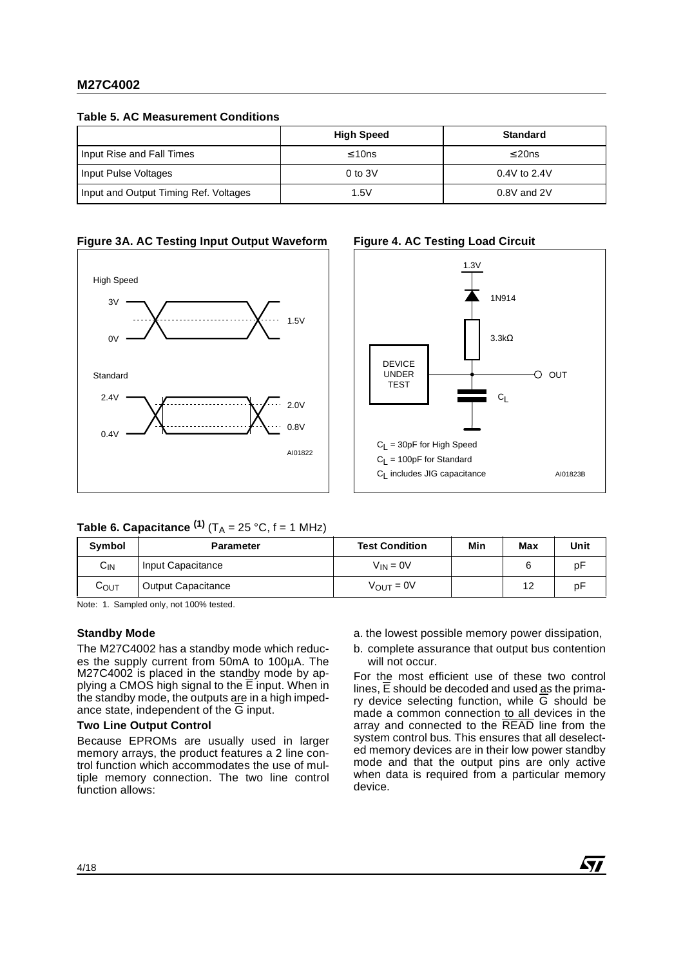**Table 5. AC Measurement Conditions**

|                                       | <b>High Speed</b> | <b>Standard</b>  |
|---------------------------------------|-------------------|------------------|
| Input Rise and Fall Times             | $\leq 10$ ns      | $\leq$ 20ns      |
| Input Pulse Voltages                  | $0$ to $3V$       | $0.4V$ to $2.4V$ |
| Input and Output Timing Ref. Voltages | 1.5V              | 0.8V and 2V      |

## **Figure 3A. AC Testing Input Output Waveform**





## **Table 6. Capacitance**  $^{(1)}$  **(T<sub>A</sub> = 25 °C, f = 1 MHz)**

| Symbol           | <b>Parameter</b>          | <b>Test Condition</b> | Min | Max | Unit |
|------------------|---------------------------|-----------------------|-----|-----|------|
| $C_{IN}$         | Input Capacitance         | $V_{IN} = 0V$         |     |     | рF   |
| C <sub>OUT</sub> | <b>Output Capacitance</b> | $V_{\text{OUT}} = 0V$ |     | 12  | рF   |

Note: 1. Sampled only, not 100% tested.

#### **Standby Mode**

The M27C4002 has a standby mode which reduces the supply current from 50mA to 100µA. The M27C4002 is placed in the standby mode by applying a CMOS high signal to the E input. When in the standby mode, the outputs are in a high impedance state, independent of the  $\overline{G}$  input.

## **Two Line Output Control**

Because EPROMs are usually used in larger memory arrays, the product features a 2 line control function which accommodates the use of multiple memory connection. The two line control function allows:

- a. the lowest possible memory power dissipation,
- b. complete assurance that output bus contention will not occur.

For the most efficient use of these two control lines, E should be decoded and used as the primary device selecting function, while G should be made a common connection to all devices in the array and connected to the READ line from the system control bus. This ensures that all deselected memory devices are in their low power standby mode and that the output pins are only active when data is required from a particular memory device.

#### 4/18

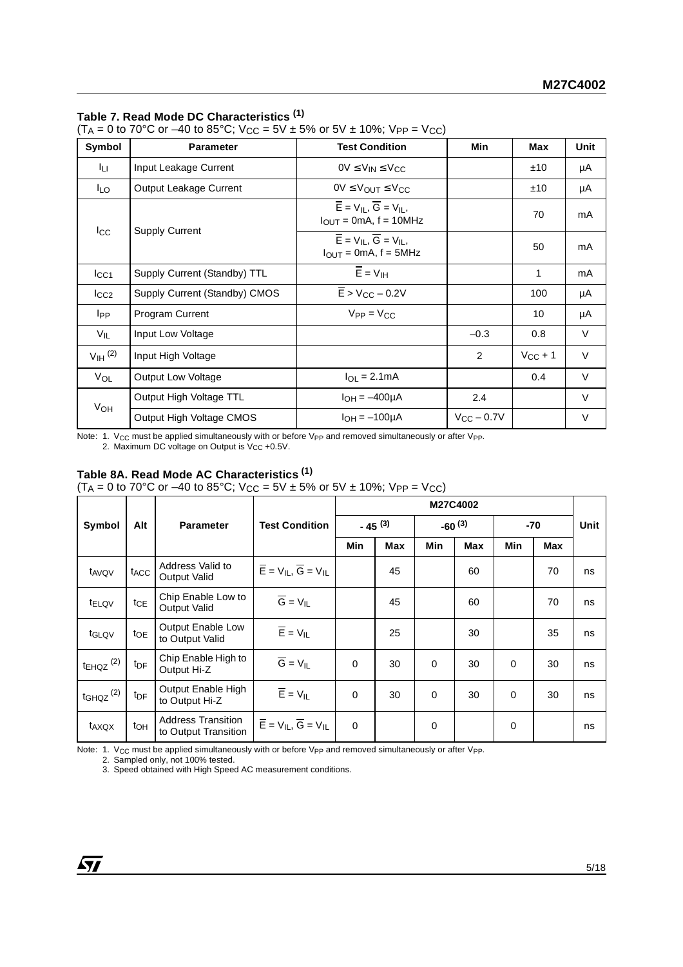## **Table 7. Read Mode DC Characteristics (1)**

(T<sub>A</sub> = 0 to 70°C or –40 to 85°C; V<sub>CC</sub> = 5V ± 5% or 5V ± 10%; V<sub>PP</sub> = V<sub>CC</sub>)

| Symbol               | <b>Parameter</b>              | <b>Test Condition</b>                                                                                | Min             | Max          | <b>Unit</b> |
|----------------------|-------------------------------|------------------------------------------------------------------------------------------------------|-----------------|--------------|-------------|
| Iц.                  | Input Leakage Current         | $OV \leq V_{IN} \leq V_{CC}$                                                                         |                 | ±10          | μA          |
| I <sub>LO</sub>      | Output Leakage Current        | $0V \leq V_{\text{OUT}} \leq V_{\text{CC}}$                                                          |                 | ±10          | μA          |
|                      |                               | $\overline{E}$ = V <sub>II</sub> , $\overline{G}$ = V <sub>II</sub> ,<br>$I_{OUT} = 0mA$ , f = 10MHz |                 | 70           | mA          |
| $_{\rm{lcc}}$        | <b>Supply Current</b>         | $\overline{E}$ = $V_{II}$ , $\overline{G}$ = $V_{II}$ ,<br>$I_{OUT} = 0mA$ , f = 5MHz                |                 | 50           | mA          |
| $I_{\rm CC1}$        | Supply Current (Standby) TTL  | $\overline{E}$ = $VIH$                                                                               |                 | 1            | mA          |
| $I_{CC2}$            | Supply Current (Standby) CMOS | $\overline{E}$ > V <sub>CC</sub> – 0.2V                                                              |                 | 100          | μA          |
| I <sub>PP</sub>      | <b>Program Current</b>        | $V_{PP} = V_{CC}$                                                                                    |                 | 10           | μA          |
| V <sub>IL</sub>      | Input Low Voltage             |                                                                                                      | $-0.3$          | 0.8          | V           |
| $VIH$ <sup>(2)</sup> | Input High Voltage            |                                                                                                      | 2               | $V_{CC}$ + 1 | $\vee$      |
| VOL                  | Output Low Voltage            | $I_{\Omega I} = 2.1 \text{mA}$                                                                       |                 | 0.4          | $\vee$      |
|                      | Output High Voltage TTL       | $I_{OH} = -400 \mu A$                                                                                | 2.4             |              | V           |
| V <sub>OH</sub>      | Output High Voltage CMOS      | $I_{OH} = -100 \mu A$                                                                                | $V_{CC}$ – 0.7V |              | $\vee$      |

Note: 1.  $V_{CC}$  must be applied simultaneously with or before  $V_{PP}$  and removed simultaneously or after  $V_{PP}$ .

2. Maximum DC voltage on Output is  $V_{CC}$  +0.5V.

## **Table 8A. Read Mode AC Characteristics (1)**

(T<sub>A</sub> = 0 to 70°C or –40 to 85°C; V<sub>CC</sub> = 5V ± 5% or 5V ± 10%; V<sub>PP</sub> = V<sub>CC</sub>)

|                           |                  | <b>Parameter</b>                                  |                                                                                                          |             |            | M27C4002    |            |          |     |      |
|---------------------------|------------------|---------------------------------------------------|----------------------------------------------------------------------------------------------------------|-------------|------------|-------------|------------|----------|-----|------|
| Symbol                    | Alt              |                                                   | <b>Test Condition</b>                                                                                    | $-45^{(3)}$ |            | $-60^{(3)}$ |            | $-70$    |     | Unit |
|                           |                  |                                                   |                                                                                                          | Min         | <b>Max</b> | Min         | <b>Max</b> | Min      | Max |      |
| t <sub>AVQV</sub>         | t <sub>ACC</sub> | Address Valid to<br><b>Output Valid</b>           | $\overline{E}$ = $V_{IL}$ , $\overline{G}$ = $V_{IL}$                                                    |             | 45         |             | 60         |          | 70  | ns   |
| <b>tELQV</b>              | $t_{\sf CE}$     | Chip Enable Low to<br><b>Output Valid</b>         | $\overline{G} = V_{IL}$                                                                                  |             | 45         |             | 60         |          | 70  | ns   |
| t <sub>GLQV</sub>         | toe              | <b>Output Enable Low</b><br>to Output Valid       | $\overline{E}$ = $V_{IL}$                                                                                |             | 25         |             | 30         |          | 35  | ns   |
| $t_{EHQZ}$ <sup>(2)</sup> | t <sub>DF</sub>  | Chip Enable High to<br>Output Hi-Z                | $\overline{G} = V_{IL}$                                                                                  | $\Omega$    | 30         | $\Omega$    | 30         | $\Omega$ | 30  | ns   |
| $t$ GHQZ $(2)$            | $t_{\text{DF}}$  | Output Enable High<br>to Output Hi-Z              | $\overline{E}$ = $V_{IL}$                                                                                | $\Omega$    | 30         | $\Omega$    | 30         | $\Omega$ | 30  | ns   |
| t <sub>AXQX</sub>         | to <sub>H</sub>  | <b>Address Transition</b><br>to Output Transition | $\overline{\mathsf{E}}$ = $\mathsf{V}_{\mathsf{IL}}, \overline{\mathsf{G}}$ = $\mathsf{V}_{\mathsf{IL}}$ | $\Omega$    |            | 0           |            | 0        |     | ns   |

Note: 1. V<sub>CC</sub> must be applied simultaneously with or before V<sub>PP</sub> and removed simultaneously or after V<sub>PP</sub>.<br>2. Sampled only, not 100% tested.

3. Speed obtained with High Speed AC measurement conditions.

$$
\mathbf{M}
$$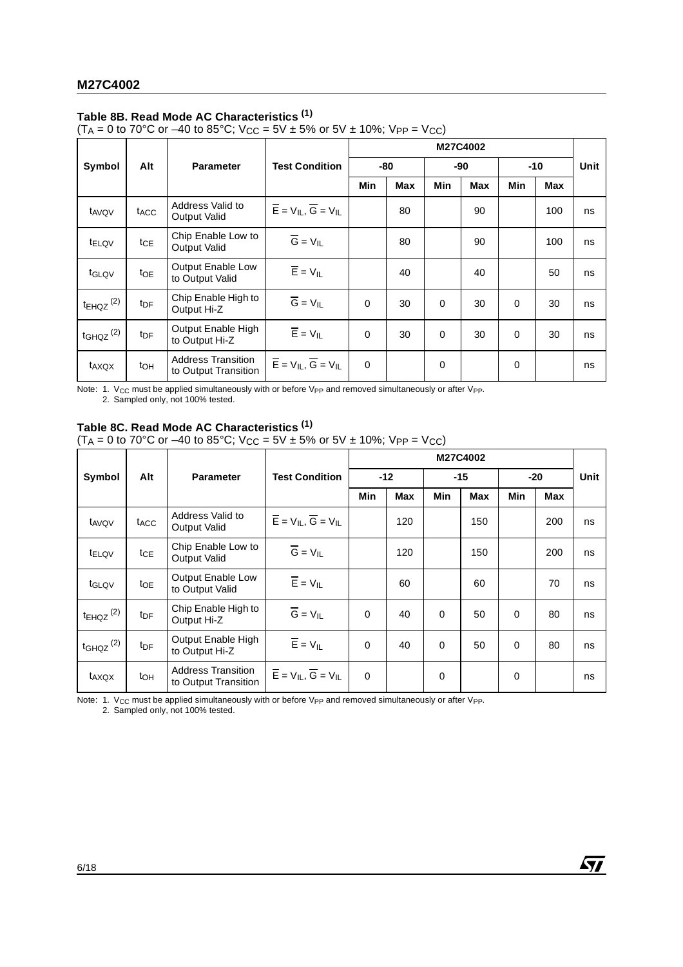## **Table 8B. Read Mode AC Characteristics (1)**

(T<sub>A</sub> = 0 to 70°C or –40 to 85°C; V<sub>CC</sub> = 5V ± 5% or 5V ± 10%; V<sub>PP</sub> = V<sub>CC</sub>)

|                           |                  | Alt<br><b>Parameter</b>                           |                                                       |          |            |          | M27C4002   |          |            |      |  |  |
|---------------------------|------------------|---------------------------------------------------|-------------------------------------------------------|----------|------------|----------|------------|----------|------------|------|--|--|
| Symbol                    |                  |                                                   | <b>Test Condition</b>                                 |          | -80        |          | -90        | -10      |            | Unit |  |  |
|                           |                  |                                                   |                                                       | Min      | <b>Max</b> | Min      | <b>Max</b> | Min      | <b>Max</b> |      |  |  |
| t <sub>AVQV</sub>         | t <sub>ACC</sub> | Address Valid to<br><b>Output Valid</b>           | $\overline{E}$ = $V_{IL}$ , $\overline{G}$ = $V_{IL}$ |          | 80         |          | 90         |          | 100        | ns   |  |  |
| <b>TELOV</b>              | tcE              | Chip Enable Low to<br><b>Output Valid</b>         | $\overline{G} = V_{IL}$                               |          | 80         |          | 90         |          | 100        | ns   |  |  |
| tGLQV                     | to <sub>E</sub>  | Output Enable Low<br>to Output Valid              | $\overline{E}$ = $V_{IL}$                             |          | 40         |          | 40         |          | 50         | ns   |  |  |
| $t_{EHQZ}$ <sup>(2)</sup> | t <sub>DF</sub>  | Chip Enable High to<br>Output Hi-Z                | $\overline{G} = V_{IL}$                               | $\Omega$ | 30         | $\Omega$ | 30         | $\Omega$ | 30         | ns   |  |  |
| $t$ GHQZ $(2)$            | t <sub>DF</sub>  | Output Enable High<br>to Output Hi-Z              | $\overline{E}$ = $V_{IL}$                             | $\Omega$ | 30         | $\Omega$ | 30         | $\Omega$ | 30         | ns   |  |  |
| t <sub>AXQX</sub>         | t <sub>OH</sub>  | <b>Address Transition</b><br>to Output Transition | $\overline{E}$ = $V_{IL}$ , $\overline{G}$ = $V_{IL}$ | $\Omega$ |            | 0        |            | 0        |            | ns   |  |  |

Note: 1. V<sub>CC</sub> must be applied simultaneously with or before V<sub>PP</sub> and removed simultaneously or after V<sub>PP</sub>. 2. Sampled only, not 100% tested.

## **Table 8C. Read Mode AC Characteristics (1)**

(T<sub>A</sub> = 0 to 70°C or –40 to 85°C; V<sub>CC</sub> = 5V ± 5% or 5V ± 10%; V<sub>PP</sub> = V<sub>CC</sub>)

|                           |                        |                                                   |                                                       |          |            |          | M27C4002 |          |       |    |       |      |
|---------------------------|------------------------|---------------------------------------------------|-------------------------------------------------------|----------|------------|----------|----------|----------|-------|----|-------|------|
| Symbol                    | Alt                    | <b>Parameter</b>                                  | <b>Test Condition</b>                                 |          | $-12$      |          |          |          | $-15$ |    | $-20$ | Unit |
|                           |                        |                                                   |                                                       | Min      | <b>Max</b> | Min      | Max      | Min      | Max   |    |       |      |
| t <sub>AVQV</sub>         | t <sub>ACC</sub>       | Address Valid to<br>Output Valid                  | $\overline{E}$ = $V_{IL}$ , $\overline{G}$ = $V_{IL}$ |          | 120        |          | 150      |          | 200   | ns |       |      |
| t <sub>ELQV</sub>         | $tc_E$                 | Chip Enable Low to<br><b>Output Valid</b>         | $\overline{G} = V_{IL}$                               |          | 120        |          | 150      |          | 200   | ns |       |      |
| tGLQV                     | to <sub>E</sub>        | Output Enable Low<br>to Output Valid              | $\overline{E}$ = $V_{IL}$                             |          | 60         |          | 60       |          | 70    | ns |       |      |
| $t_{EHQZ}$ <sup>(2)</sup> | <b>t</b> <sub>DF</sub> | Chip Enable High to<br>Output Hi-Z                | $\overline{G} = V_{IL}$                               | $\Omega$ | 40         | $\Omega$ | 50       | 0        | 80    | ns |       |      |
| $t$ GHQZ $(2)$            | <b>t</b> <sub>DF</sub> | Output Enable High<br>to Output Hi-Z              | $\overline{E}$ = $V_{IL}$                             | $\Omega$ | 40         | $\Omega$ | 50       | $\Omega$ | 80    | ns |       |      |
| taxqx                     | to <sub>H</sub>        | <b>Address Transition</b><br>to Output Transition | $\overline{E}$ = $V_{IL}$ , $\overline{G}$ = $V_{IL}$ | $\Omega$ |            | 0        |          | 0        |       | ns |       |      |

*ST* 

Note: 1. V<sub>CC</sub> must be applied simultaneously with or before V<sub>PP</sub> and removed simultaneously or after V<sub>PP</sub>.<br>2. Sampled only, not 100% tested.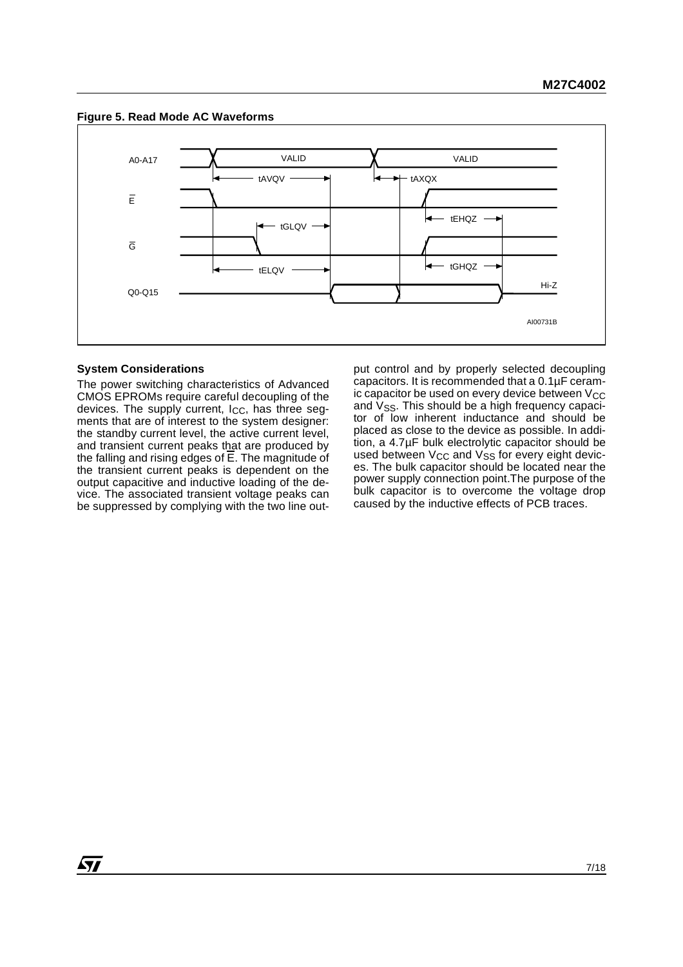



#### **System Considerations**

The power switching characteristics of Advanced CMOS EPROMs require careful decoupling of the devices. The supply current,  $I_{CC}$ , has three segments that are of interest to the system designer: the standby current level, the active current level, and transient current peaks that are produced by the falling and rising edges of  $\overline{E}$ . The magnitude of the transient current peaks is dependent on the output capacitive and inductive loading of the device. The associated transient voltage peaks can be suppressed by complying with the two line output control and by properly selected decoupling capacitors. It is recommended that a 0.1µF ceramic capacitor be used on every device between  $V_{CC}$ and  $V_{SS}$ . This should be a high frequency capacitor of low inherent inductance and should be placed as close to the device as possible. In addition, a 4.7µF bulk electrolytic capacitor should be used between  $V_{CC}$  and  $V_{SS}$  for every eight devices. The bulk capacitor should be located near the power supply connection point.The purpose of the bulk capacitor is to overcome the voltage drop caused by the inductive effects of PCB traces.

57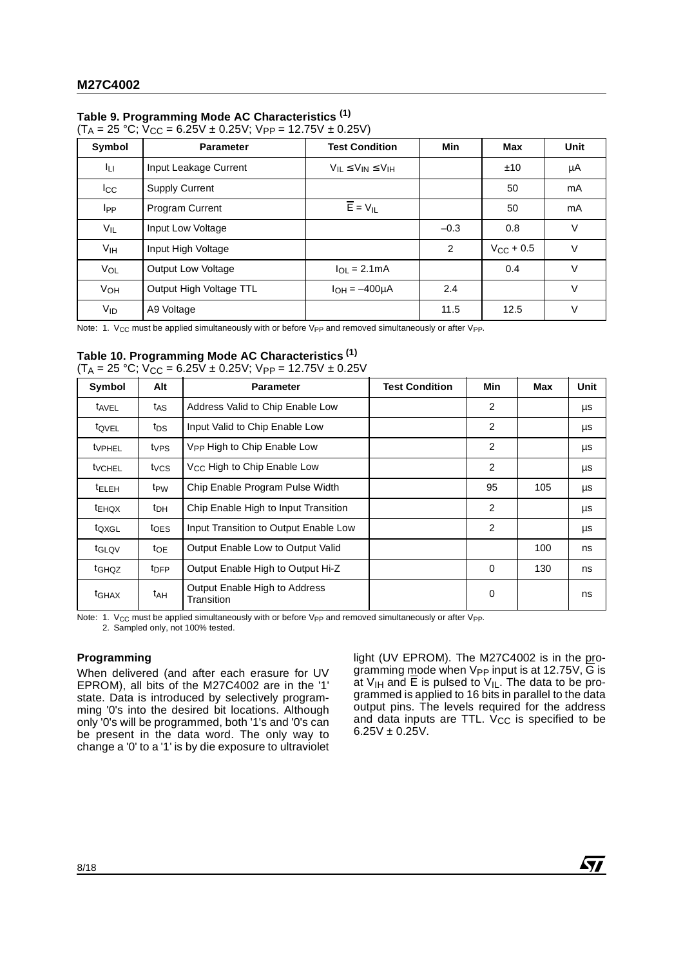## **Table 9. Programming Mode AC Characteristics (1)**

| $(T_A = 25 °C; V_{CC} = 6.25V \pm 0.25V; V_{PP} = 12.75V \pm 0.25V)$ |  |
|----------------------------------------------------------------------|--|
|----------------------------------------------------------------------|--|

| Symbol          | <b>Parameter</b>          | <b>Test Condition</b>            | Min    | Max            | Unit   |
|-----------------|---------------------------|----------------------------------|--------|----------------|--------|
| Iц              | Input Leakage Current     | $V_{IL} \leq V_{IN} \leq V_{IH}$ |        | ±10            | μA     |
| $_{\rm{lcc}}$   | <b>Supply Current</b>     |                                  |        | 50             | mA     |
| I <sub>PP</sub> | <b>Program Current</b>    | $\overline{E} = V_{IL}$          |        | 50             | mA     |
| VIL             | Input Low Voltage         |                                  | $-0.3$ | 0.8            | $\vee$ |
| V <sub>IH</sub> | Input High Voltage        |                                  | 2      | $V_{CC}$ + 0.5 | $\vee$ |
| VOL             | <b>Output Low Voltage</b> | $I_{\Omega I} = 2.1 \text{mA}$   |        | 0.4            | V      |
| VOH             | Output High Voltage TTL   | $I_{OH} = -400 \mu A$            | 2.4    |                | V      |
| $V_{ID}$        | A9 Voltage                |                                  | 11.5   | 12.5           | $\vee$ |

Note: 1. V<sub>CC</sub> must be applied simultaneously with or before V<sub>PP</sub> and removed simultaneously or after V<sub>PP</sub>.

## **Table 10. Programming Mode AC Characteristics (1)**

|  | $(T_A = 25 °C; V_{CC} = 6.25V \pm 0.25V; V_{PP} = 12.75V \pm 0.25V$ |  |
|--|---------------------------------------------------------------------|--|
|--|---------------------------------------------------------------------|--|

| Symbol            | Alt              | <b>Parameter</b>                            | <b>Test Condition</b> | Min | Max | <b>Unit</b> |
|-------------------|------------------|---------------------------------------------|-----------------------|-----|-----|-------------|
| t <sub>AVEL</sub> | t <sub>AS</sub>  | Address Valid to Chip Enable Low            |                       | 2   |     | μs          |
| tovel             | tps              | Input Valid to Chip Enable Low              |                       | 2   |     | μs          |
| <b>t</b> VPHEL    | tvps             | V <sub>PP</sub> High to Chip Enable Low     |                       | 2   |     | μs          |
| <b>t</b> VCHEL    | t <sub>VCS</sub> | V <sub>CC</sub> High to Chip Enable Low     |                       | 2   |     | μs          |
| <sup>t</sup> ELEH | t <sub>PW</sub>  | Chip Enable Program Pulse Width             |                       | 95  | 105 | μs          |
| tEHQX             | t <sub>DH</sub>  | Chip Enable High to Input Transition        |                       | 2   |     | μs          |
| toxgL             | toes             | Input Transition to Output Enable Low       |                       | 2   |     | μs          |
| t <sub>GLQV</sub> | toe              | Output Enable Low to Output Valid           |                       |     | 100 | ns          |
| t <sub>GHQZ</sub> | t <sub>DFP</sub> | Output Enable High to Output Hi-Z           |                       | 0   | 130 | ns          |
| t <sub>GHAX</sub> | t <sub>AH</sub>  | Output Enable High to Address<br>Transition |                       | 0   |     | ns          |

Note: 1. V<sub>CC</sub> must be applied simultaneously with or before V<sub>PP</sub> and removed simultaneously or after V<sub>PP</sub>.

2. Sampled only, not 100% tested.

#### **Programming**

When delivered (and after each erasure for UV EPROM), all bits of the M27C4002 are in the '1' state. Data is introduced by selectively programming '0's into the desired bit locations. Although only '0's will be programmed, both '1's and '0's can be present in the data word. The only way to change a '0' to a '1' is by die exposure to ultraviolet light (UV EPROM). The M27C4002 is in the programming mode when  $V_{PP}$  input is at 12.75V,  $\overline{G}$  is at  $V_{IH}$  and E is pulsed to  $V_{IL}$ . The data to be programmed is applied to 16 bits in parallel to the data output pins. The levels required for the address and data inputs are TTL.  $V_{CC}$  is specified to be  $6.25V \pm 0.25V$ .

57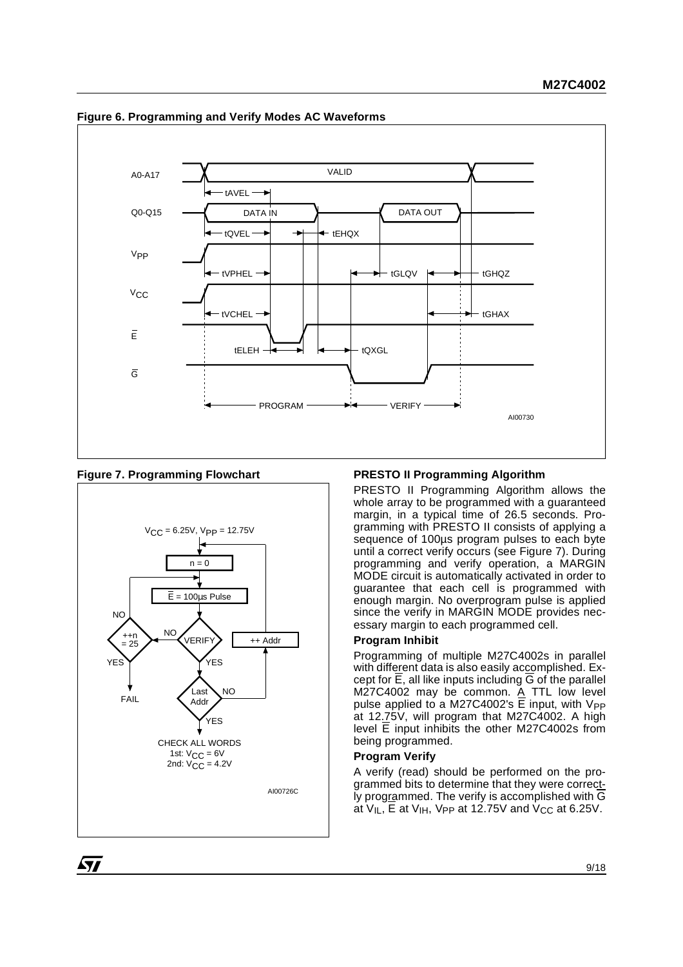

#### **Figure 6. Programming and Verify Modes AC Waveforms**

**Figure 7. Programming Flowchart**



## **PRESTO II Programming Algorithm**

PRESTO II Programming Algorithm allows the whole array to be programmed with a guaranteed margin, in a typical time of 26.5 seconds. Programming with PRESTO II consists of applying a sequence of 100µs program pulses to each byte until a correct verify occurs (see Figure 7). During programming and verify operation, a MARGIN MODE circuit is automatically activated in order to guarantee that each cell is programmed with enough margin. No overprogram pulse is applied since the verify in MARGIN MODE provides necessary margin to each programmed cell.

## **Program Inhibit**

Programming of multiple M27C4002s in parallel with different data is also easily accomplished. Except for E, all like inputs including G of the parallel M27C4002 may be common. A TTL low level pulse applied to a M27C4002's  $E$  input, with  $V_{PP}$ at 12.75V, will program that M27C4002. A high level E input inhibits the other M27C4002s from being programmed.

#### **Program Verify**

A verify (read) should be performed on the programmed bits to determine that they were correct-Iy programmed. The verify is accomplished with  $\overline{G}$ at  $V_{IL}$ , E at  $V_{IH}$ , V<sub>PP</sub> at 12.75V and V<sub>CC</sub> at 6.25V.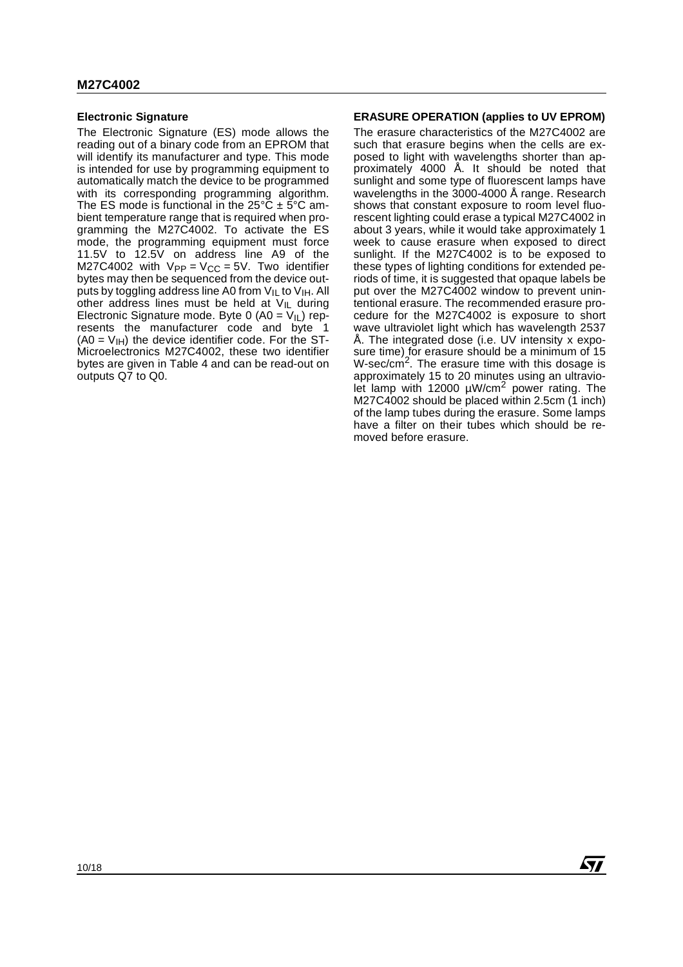#### **Electronic Signature**

The Electronic Signature (ES) mode allows the reading out of a binary code from an EPROM that will identify its manufacturer and type. This mode is intended for use by programming equipment to automatically match the device to be programmed with its corresponding programming algorithm. The ES mode is functional in the 25°C  $\pm$  5°C ambient temperature range that is required when programming the M27C4002. To activate the ES mode, the programming equipment must force 11.5V to 12.5V on address line A9 of the M27C4002 with  $V_{PP} = V_{CC} = 5V$ . Two identifier bytes may then be sequenced from the device outputs by toggling address line A0 from  $V_{IL}$  to  $V_{IH}$ . All other address lines must be held at  $V_{\parallel L}$  during Electronic Signature mode. Byte 0 (A0 =  $V_{I}$ ) represents the manufacturer code and byte 1  $(AO = V<sub>IH</sub>)$  the device identifier code. For the ST-Microelectronics M27C4002, these two identifier bytes are given in Table 4 and can be read-out on outputs Q7 to Q0.

#### **ERASURE OPERATION (applies to UV EPROM)**

The erasure characteristics of the M27C4002 are such that erasure begins when the cells are exposed to light with wavelengths shorter than approximately 4000 Å. It should be noted that sunlight and some type of fluorescent lamps have wavelengths in the 3000-4000 Å range. Research shows that constant exposure to room level fluorescent lighting could erase a typical M27C4002 in about 3 years, while it would take approximately 1 week to cause erasure when exposed to direct sunlight. If the M27C4002 is to be exposed to these types of lighting conditions for extended periods of time, it is suggested that opaque labels be put over the M27C4002 window to prevent unintentional erasure. The recommended erasure procedure for the M27C4002 is exposure to short wave ultraviolet light which has wavelength 2537 Å. The integrated dose (i.e. UV intensity x exposure time) for erasure should be a minimum of 15 W-sec/cm<sup>2</sup>. The erasure time with this dosage is approximately 15 to 20 minutes using an ultraviolet lamp with 12000  $\mu$ W/cm<sup>2</sup> power rating. The M27C4002 should be placed within 2.5cm (1 inch) of the lamp tubes during the erasure. Some lamps have a filter on their tubes which should be removed before erasure.

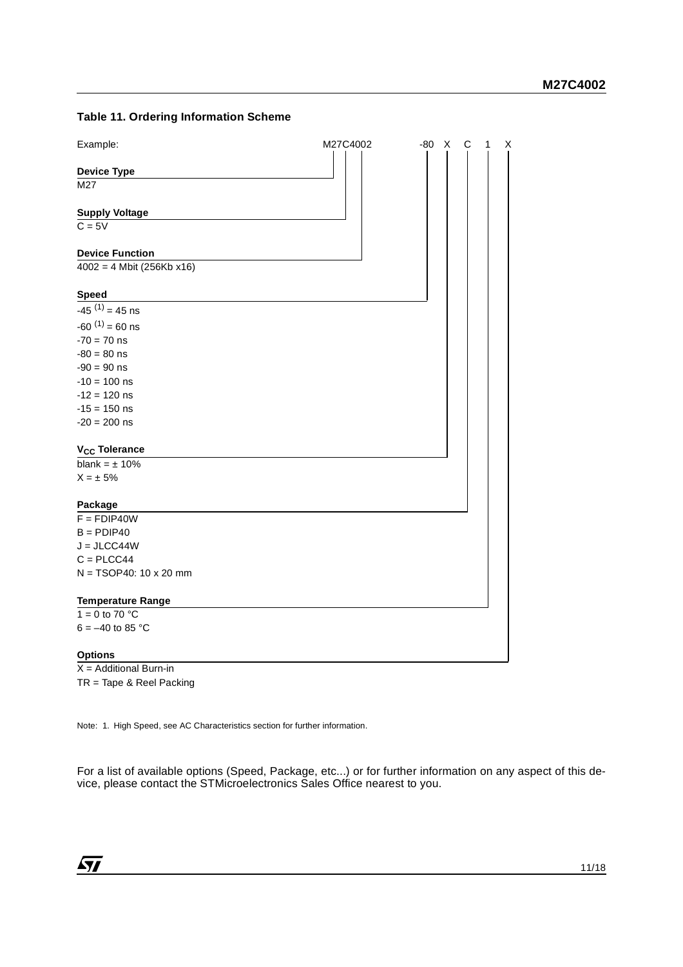## **Table 11. Ordering Information Scheme**



X = Additional Burn-in TR = Tape & Reel Packing

Note: 1. High Speed, see AC Characteristics section for further information.

For a list of available options (Speed, Package, etc...) or for further information on any aspect of this device, please contact the STMicroelectronics Sales Office nearest to you.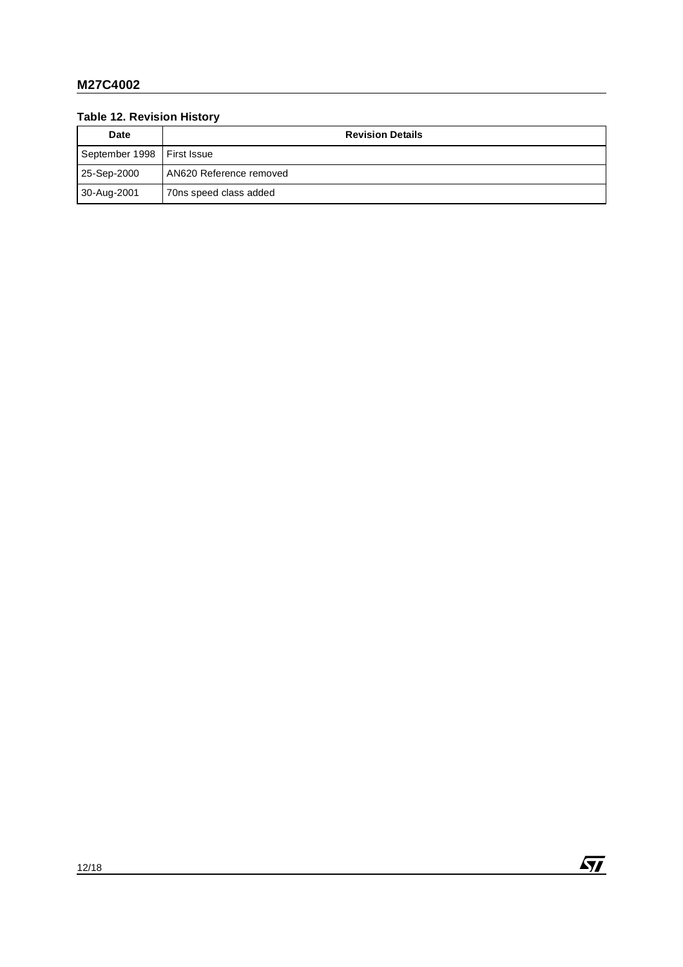## **Table 12. Revision History**

| <b>Date</b>                  | <b>Revision Details</b> |  |  |  |  |  |
|------------------------------|-------------------------|--|--|--|--|--|
| September 1998   First Issue |                         |  |  |  |  |  |
| 25-Sep-2000                  | AN620 Reference removed |  |  |  |  |  |
| 30-Aug-2001                  | 70ns speed class added  |  |  |  |  |  |

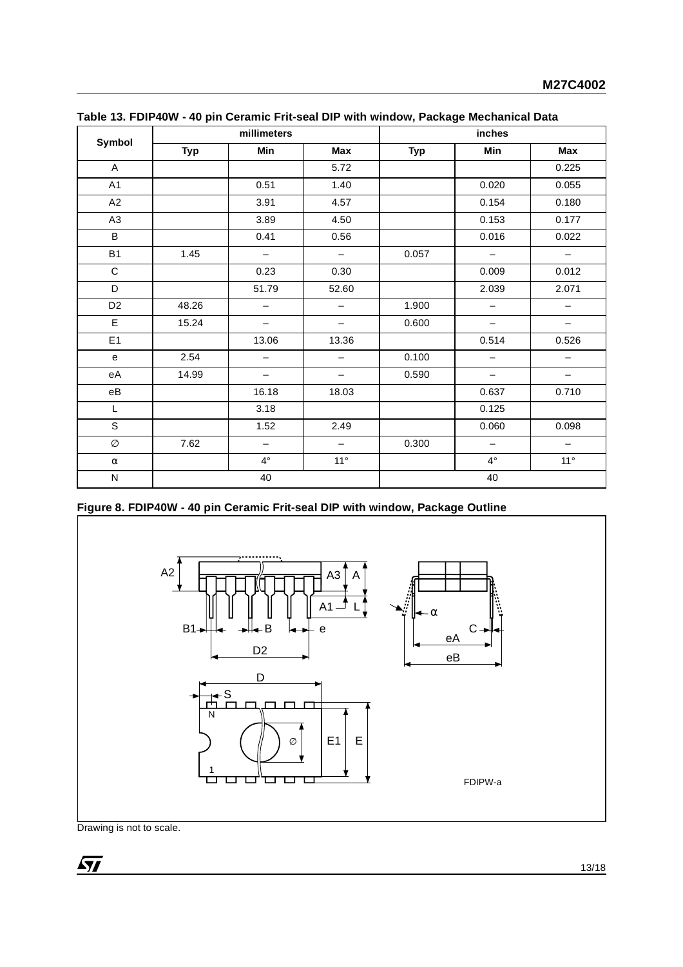| Symbol                 |            | millimeters              |                          |            | inches                   |                   |  |
|------------------------|------------|--------------------------|--------------------------|------------|--------------------------|-------------------|--|
|                        | <b>Typ</b> | Min                      | Max                      | <b>Typ</b> | Min                      | Max               |  |
| A                      |            |                          | 5.72                     |            |                          | 0.225             |  |
| A1                     |            | 0.51                     | 1.40                     |            | 0.020                    | 0.055             |  |
| A2                     |            | 3.91                     | 4.57                     |            | 0.154                    | 0.180             |  |
| A <sub>3</sub>         |            | 3.89                     | 4.50                     |            | 0.153                    | 0.177             |  |
| B                      |            | 0.41                     | 0.56                     |            | 0.016                    | 0.022             |  |
| B <sub>1</sub>         | 1.45       | $\overline{\phantom{m}}$ | $\overline{\phantom{0}}$ | 0.057      | $\overline{\phantom{m}}$ | $\qquad \qquad -$ |  |
| $\mathbf C$            |            | 0.23                     | 0.30                     |            | 0.009                    | 0.012             |  |
| D                      |            | 51.79                    | 52.60                    |            | 2.039                    | 2.071             |  |
| D <sub>2</sub>         | 48.26      | $\qquad \qquad -$        | —                        | 1.900      | $\qquad \qquad -$        | —                 |  |
| E                      | 15.24      | $\overline{\phantom{0}}$ | $\qquad \qquad -$        | 0.600      | $\overline{\phantom{0}}$ | —                 |  |
| E1                     |            | 13.06                    | 13.36                    |            | 0.514                    | 0.526             |  |
| e                      | 2.54       | $\qquad \qquad -$        | $\overline{\phantom{0}}$ | 0.100      | $\qquad \qquad -$        | $\qquad \qquad -$ |  |
| eA                     | 14.99      | $\qquad \qquad -$        | $\overline{\phantom{0}}$ | 0.590      | $\qquad \qquad -$        | —                 |  |
| $\mathsf{e}\mathsf{B}$ |            | 16.18                    | 18.03                    |            | 0.637                    | 0.710             |  |
| L                      |            | 3.18                     |                          |            | 0.125                    |                   |  |
| S                      |            | 1.52                     | 2.49                     |            | 0.060                    | 0.098             |  |
| Ø                      | 7.62       | $\overline{\phantom{m}}$ | $\overline{\phantom{m}}$ | 0.300      | $\overline{\phantom{m}}$ | $\qquad \qquad -$ |  |
| $\alpha$               |            | $4^{\circ}$              | $11^{\circ}$             |            | $4^{\circ}$              | 11°               |  |
| ${\sf N}$              |            | 40                       |                          | 40         |                          |                   |  |

|  | Table 13. FDIP40W - 40 pin Ceramic Frit-seal DIP with window, Package Mechanical Data |
|--|---------------------------------------------------------------------------------------|
|  |                                                                                       |

**Figure 8. FDIP40W - 40 pin Ceramic Frit-seal DIP with window, Package Outline**

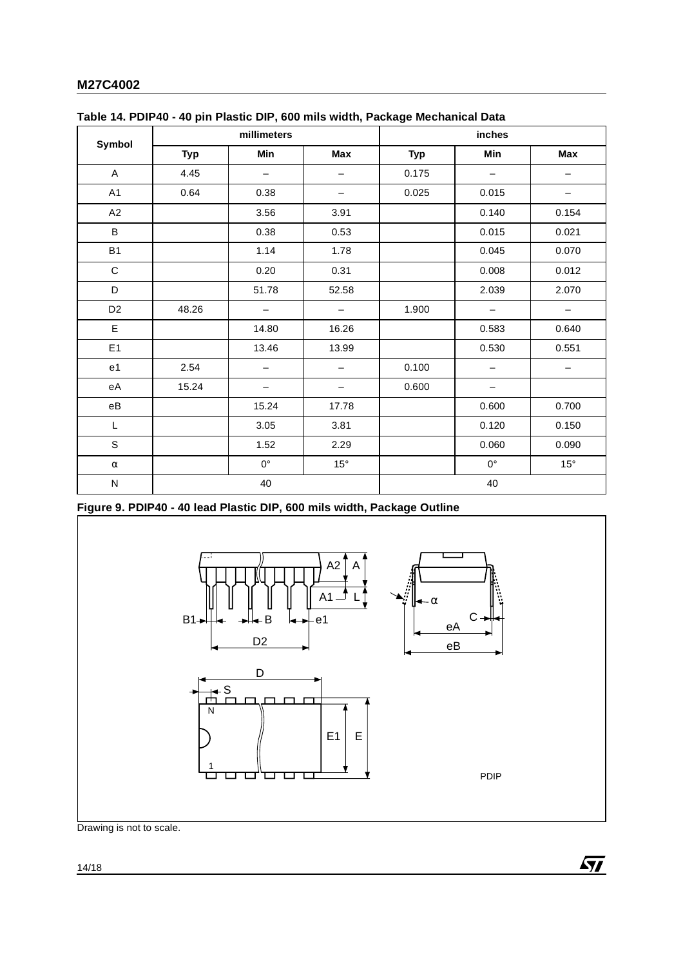|                        |            | millimeters       |                          |            | inches                   |                          |  |
|------------------------|------------|-------------------|--------------------------|------------|--------------------------|--------------------------|--|
| Symbol                 | <b>Typ</b> | Min               | Max                      | <b>Typ</b> | Min                      | Max                      |  |
| A                      | 4.45       | $\qquad \qquad -$ | —                        | 0.175      | $\overline{\phantom{m}}$ | -                        |  |
| A1                     | 0.64       | 0.38              | -                        | 0.025      | 0.015                    | -                        |  |
| A2                     |            | 3.56              | 3.91                     |            | 0.140                    | 0.154                    |  |
| $\sf B$                |            | 0.38              | 0.53                     |            | 0.015                    | 0.021                    |  |
| <b>B1</b>              |            | 1.14              | 1.78                     |            | 0.045                    | 0.070                    |  |
| $\mathbf C$            |            | 0.20              | 0.31                     |            | 0.008                    | 0.012                    |  |
| D                      |            | 51.78             | 52.58                    |            | 2.039                    | 2.070                    |  |
| D <sub>2</sub>         | 48.26      | $\qquad \qquad -$ | $\overline{\phantom{0}}$ | 1.900      | $\qquad \qquad -$        | $\overline{\phantom{a}}$ |  |
| E                      |            | 14.80             | 16.26                    |            | 0.583                    | 0.640                    |  |
| E1                     |            | 13.46             | 13.99                    |            | 0.530                    | 0.551                    |  |
| e <sub>1</sub>         | 2.54       | $\qquad \qquad -$ | -                        | 0.100      | $\qquad \qquad -$        | $\qquad \qquad -$        |  |
| еA                     | 15.24      |                   | -                        | 0.600      | $\qquad \qquad -$        |                          |  |
| $\mathsf{e}\mathsf{B}$ |            | 15.24             | 17.78                    |            | 0.600                    | 0.700                    |  |
| L                      |            | 3.05              | 3.81                     |            | 0.120                    | 0.150                    |  |
| $\mathsf S$            |            | 1.52              | 2.29                     |            | 0.060                    | 0.090                    |  |
| $\alpha$               |            | $0^{\circ}$       | $15^{\circ}$             |            | $0^{\circ}$              | $15^{\circ}$             |  |
| N                      | 40         |                   |                          |            | 40                       |                          |  |

**Figure 9. PDIP40 - 40 lead Plastic DIP, 600 mils width, Package Outline**

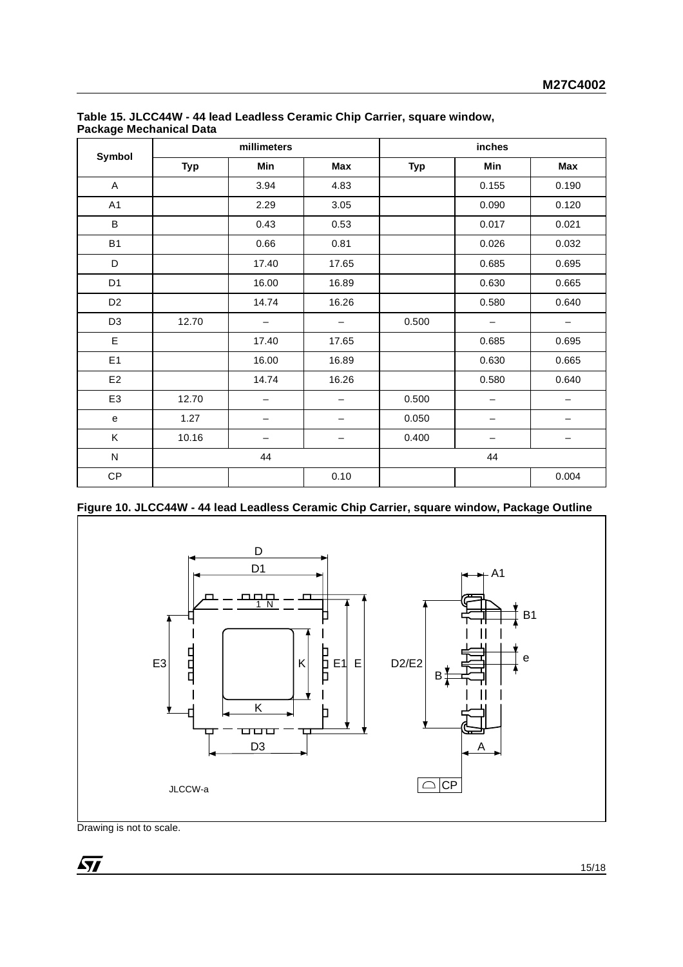| Symbol         | millimeters |                          |                          | inches     |                          |                          |
|----------------|-------------|--------------------------|--------------------------|------------|--------------------------|--------------------------|
|                | <b>Typ</b>  | Min                      | Max                      | <b>Typ</b> | Min                      | Max                      |
| $\mathsf A$    |             | 3.94                     | 4.83                     |            | 0.155                    | 0.190                    |
| A1             |             | 2.29                     | 3.05                     |            | 0.090                    | 0.120                    |
| B              |             | 0.43                     | 0.53                     |            | 0.017                    | 0.021                    |
| <b>B1</b>      |             | 0.66                     | 0.81                     |            | 0.026                    | 0.032                    |
| D              |             | 17.40                    | 17.65                    |            | 0.685                    | 0.695                    |
| D <sub>1</sub> |             | 16.00                    | 16.89                    |            | 0.630                    | 0.665                    |
| D <sub>2</sub> |             | 14.74                    | 16.26                    |            | 0.580                    | 0.640                    |
| D <sub>3</sub> | 12.70       | $\qquad \qquad -$        |                          | 0.500      | —                        | —                        |
| E              |             | 17.40                    | 17.65                    |            | 0.685                    | 0.695                    |
| E1             |             | 16.00                    | 16.89                    |            | 0.630                    | 0.665                    |
| E <sub>2</sub> |             | 14.74                    | 16.26                    |            | 0.580                    | 0.640                    |
| E <sub>3</sub> | 12.70       | $\overline{\phantom{0}}$ | $\overline{\phantom{0}}$ | 0.500      | $\overline{\phantom{0}}$ | $\overline{\phantom{0}}$ |
| e              | 1.27        | -                        |                          | 0.050      | —                        |                          |
| K              | 10.16       |                          |                          | 0.400      |                          |                          |
| ${\sf N}$      |             | 44                       |                          |            | 44                       |                          |
| CP             |             |                          | 0.10                     |            |                          | 0.004                    |

## **Table 15. JLCC44W - 44 lead Leadless Ceramic Chip Carrier, square window, Package Mechanical Data**

**Figure 10. JLCC44W - 44 lead Leadless Ceramic Chip Carrier, square window, Package Outline**

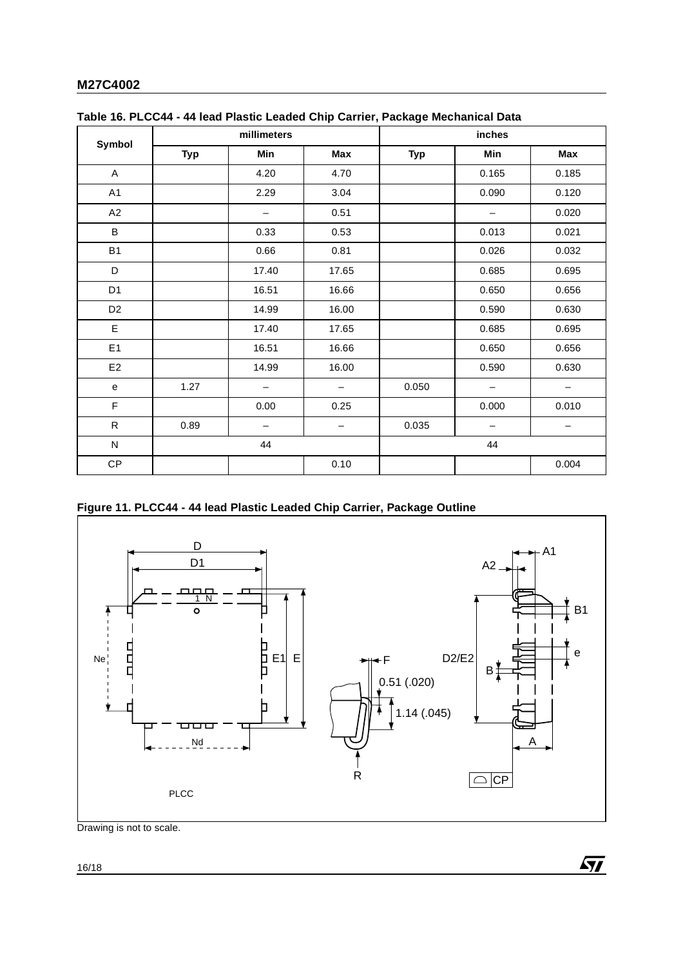| Symbol         |            | millimeters       |                   |            | inches            |                          |  |
|----------------|------------|-------------------|-------------------|------------|-------------------|--------------------------|--|
|                | <b>Typ</b> | Min               | Max               | <b>Typ</b> | Min               | Max                      |  |
| A              |            | 4.20              | 4.70              |            | 0.165             | 0.185                    |  |
| A1             |            | 2.29              | 3.04              |            | 0.090             | 0.120                    |  |
| A2             |            |                   | 0.51              |            | —                 | 0.020                    |  |
| B              |            | 0.33              | 0.53              |            | 0.013             | 0.021                    |  |
| <b>B1</b>      |            | 0.66              | 0.81              |            | 0.026             | 0.032                    |  |
| D              |            | 17.40             | 17.65             |            | 0.685             | 0.695                    |  |
| D <sub>1</sub> |            | 16.51             | 16.66             |            | 0.650             | 0.656                    |  |
| D <sub>2</sub> |            | 14.99             | 16.00             |            | 0.590             | 0.630                    |  |
| E              |            | 17.40             | 17.65             |            | 0.685             | 0.695                    |  |
| E1             |            | 16.51             | 16.66             |            | 0.650             | 0.656                    |  |
| E <sub>2</sub> |            | 14.99             | 16.00             |            | 0.590             | 0.630                    |  |
| ${\bf e}$      | 1.27       | $\qquad \qquad -$ | $\qquad \qquad -$ | 0.050      | $\qquad \qquad -$ | $\overline{\phantom{m}}$ |  |
| F              |            | 0.00              | 0.25              |            | 0.000             | 0.010                    |  |
| ${\sf R}$      | 0.89       | $\qquad \qquad -$ | $\qquad \qquad -$ | 0.035      | $\qquad \qquad -$ | $\qquad \qquad -$        |  |
| ${\sf N}$      |            | 44                |                   |            | 44                |                          |  |
| CP             |            |                   | 0.10              |            |                   | 0.004                    |  |

## **Figure 11. PLCC44 - 44 lead Plastic Leaded Chip Carrier, Package Outline**



 $\sqrt{M}$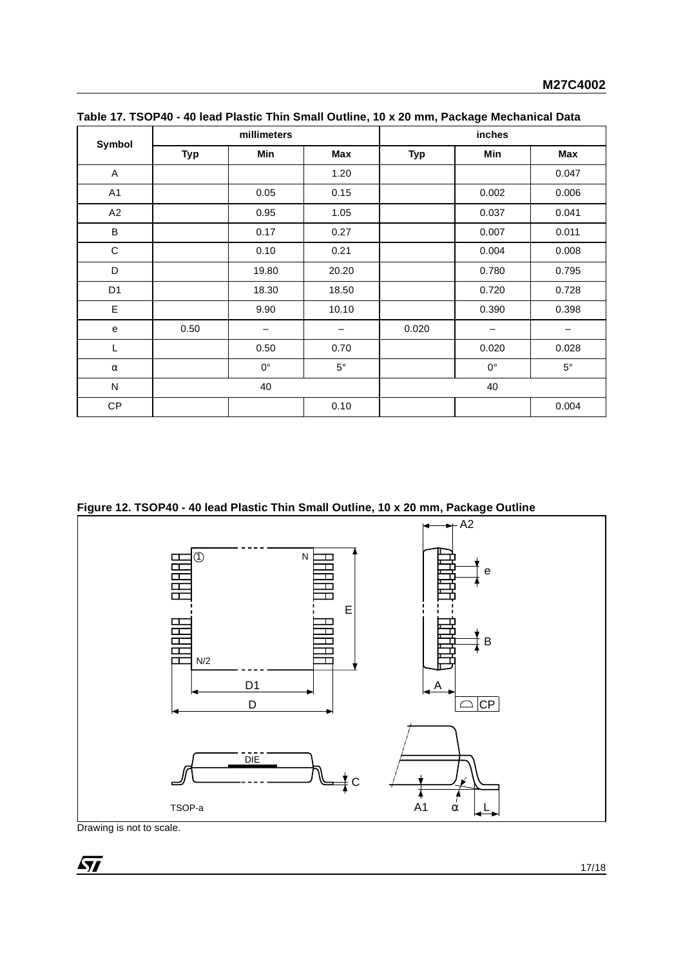|                |            | millimeters |             | inches     |             |             |
|----------------|------------|-------------|-------------|------------|-------------|-------------|
| Symbol         | <b>Typ</b> | Min         | Max         | <b>Typ</b> | Min         | Max         |
| A              |            |             | 1.20        |            |             | 0.047       |
| A1             |            | 0.05        | 0.15        |            | 0.002       | 0.006       |
| A2             |            | 0.95        | 1.05        |            | 0.037       | 0.041       |
| B              |            | 0.17        | 0.27        |            | 0.007       | 0.011       |
| $\mathbf C$    |            | 0.10        | 0.21        |            | 0.004       | 0.008       |
| D              |            | 19.80       | 20.20       |            | 0.780       | 0.795       |
| D <sub>1</sub> |            | 18.30       | 18.50       |            | 0.720       | 0.728       |
| E              |            | 9.90        | 10.10       |            | 0.390       | 0.398       |
| e              | 0.50       | -           | —           | 0.020      |             | —           |
| L              |            | 0.50        | 0.70        |            | 0.020       | 0.028       |
| $\alpha$       |            | $0^{\circ}$ | $5^{\circ}$ |            | $0^{\circ}$ | $5^{\circ}$ |
| ${\sf N}$      |            | 40          |             |            | 40          |             |
| СP             |            |             | 0.10        |            |             | 0.004       |

**Table 17. TSOP40 - 40 lead Plastic Thin Small Outline, 10 x 20 mm, Package Mechanical Data**

**Figure 12. TSOP40 - 40 lead Plastic Thin Small Outline, 10 x 20 mm, Package Outline**